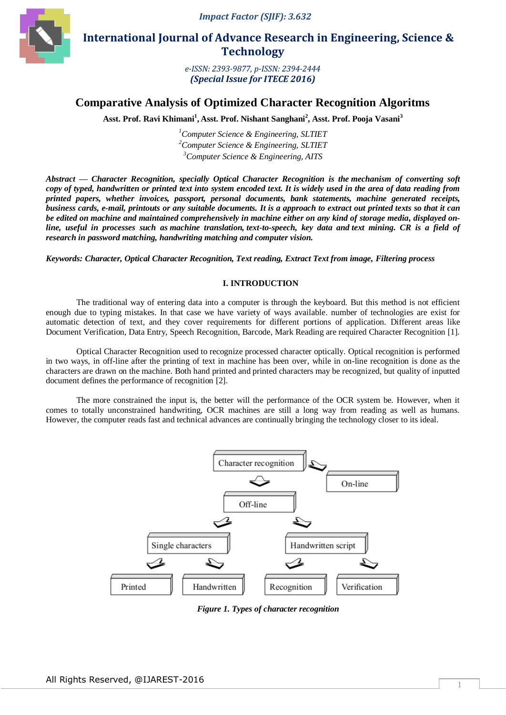

 **International Journal of Advance Research in Engineering, Science & Technology** 

> *e-ISSN: 2393-9877, p-ISSN: 2394-2444 (Special Issue for ITECE 2016)*

# **Comparative Analysis of Optimized Character Recognition Algoritms**

**Asst. Prof. Ravi Khimani<sup>1</sup> , Asst. Prof. Nishant Sanghani<sup>2</sup> , Asst. Prof. Pooja Vasani<sup>3</sup>**

*<sup>1</sup>Computer Science & Engineering, SLTIET <sup>2</sup>Computer Science & Engineering, SLTIET <sup>3</sup>Computer Science & Engineering, AITS*

*Abstract — Character Recognition, specially Optical Character Recognition is the mechanism of converting [soft](https://en.wikipedia.org/wiki/Image) copy of typed, handwritten or printed text into system encoded text. It is widely used in the area of data reading from printed papers, whether invoices, passport, personal documents, bank statements, machine generated receipts, business cards, e-mail, printouts or any suitable documents. It is a approach to extract out printed texts so that it can be edited on machine and maintained comprehensively in machine either on any kind of storage media, displayed online, useful in processes such as [machine translation,](https://en.wikipedia.org/wiki/Machine_translation) [text-to-speech,](https://en.wikipedia.org/wiki/Text-to-speech) key data and [text mining.](https://en.wikipedia.org/wiki/Text_mining) CR is a field of research in password matching, handwriting matching and [computer vision.](https://en.wikipedia.org/wiki/Computer_vision)*

*Keywords: Character, Optical Character Recognition, Text reading, Extract Text from image, Filtering process*

#### **I. INTRODUCTION**

The traditional way of entering data into a computer is through the keyboard. But this method is not efficient enough due to typing mistakes. In that case we have variety of ways available. number of technologies are exist for automatic detection of text, and they cover requirements for different portions of application. Different areas like Document Verification, Data Entry, Speech Recognition, Barcode, Mark Reading are required Character Recognition [1].

Optical Character Recognition used to recognize processed character optically. Optical recognition is performed in two ways, in off-line after the printing of text in machine has been over, while in on-line recognition is done as the characters are drawn on the machine. Both hand printed and printed characters may be recognized, but quality of inputted document defines the performance of recognition [2].

The more constrained the input is, the better will the performance of the OCR system be. However, when it comes to totally unconstrained handwriting, OCR machines are still a long way from reading as well as humans. However, the computer reads fast and technical advances are continually bringing the technology closer to its ideal.



*Figure 1. Types of character recognition*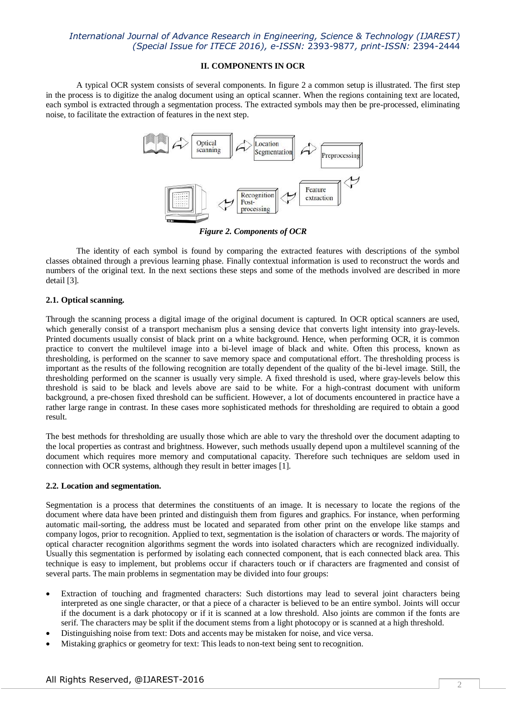#### **II. COMPONENTS IN OCR**

A typical OCR system consists of several components. In figure 2 a common setup is illustrated. The first step in the process is to digitize the analog document using an optical scanner. When the regions containing text are located, each symbol is extracted through a segmentation process. The extracted symbols may then be pre-processed, eliminating noise, to facilitate the extraction of features in the next step.



*Figure 2. Components of OCR*

The identity of each symbol is found by comparing the extracted features with descriptions of the symbol classes obtained through a previous learning phase. Finally contextual information is used to reconstruct the words and numbers of the original text. In the next sections these steps and some of the methods involved are described in more detail [3].

## **2.1. Optical scanning.**

Through the scanning process a digital image of the original document is captured. In OCR optical scanners are used, which generally consist of a transport mechanism plus a sensing device that converts light intensity into gray-levels. Printed documents usually consist of black print on a white background. Hence, when performing OCR, it is common practice to convert the multilevel image into a bi-level image of black and white. Often this process, known as thresholding, is performed on the scanner to save memory space and computational effort. The thresholding process is important as the results of the following recognition are totally dependent of the quality of the bi-level image. Still, the thresholding performed on the scanner is usually very simple. A fixed threshold is used, where gray-levels below this threshold is said to be black and levels above are said to be white. For a high-contrast document with uniform background, a pre-chosen fixed threshold can be sufficient. However, a lot of documents encountered in practice have a rather large range in contrast. In these cases more sophisticated methods for thresholding are required to obtain a good result.

The best methods for thresholding are usually those which are able to vary the threshold over the document adapting to the local properties as contrast and brightness. However, such methods usually depend upon a multilevel scanning of the document which requires more memory and computational capacity. Therefore such techniques are seldom used in connection with OCR systems, although they result in better images [1].

## **2.2. Location and segmentation.**

Segmentation is a process that determines the constituents of an image. It is necessary to locate the regions of the document where data have been printed and distinguish them from figures and graphics. For instance, when performing automatic mail-sorting, the address must be located and separated from other print on the envelope like stamps and company logos, prior to recognition. Applied to text, segmentation is the isolation of characters or words. The majority of optical character recognition algorithms segment the words into isolated characters which are recognized individually. Usually this segmentation is performed by isolating each connected component, that is each connected black area. This technique is easy to implement, but problems occur if characters touch or if characters are fragmented and consist of several parts. The main problems in segmentation may be divided into four groups:

- Extraction of touching and fragmented characters: Such distortions may lead to several joint characters being interpreted as one single character, or that a piece of a character is believed to be an entire symbol. Joints will occur if the document is a dark photocopy or if it is scanned at a low threshold. Also joints are common if the fonts are serif. The characters may be split if the document stems from a light photocopy or is scanned at a high threshold.
- Distinguishing noise from text: Dots and accents may be mistaken for noise, and vice versa.
- Mistaking graphics or geometry for text: This leads to non-text being sent to recognition.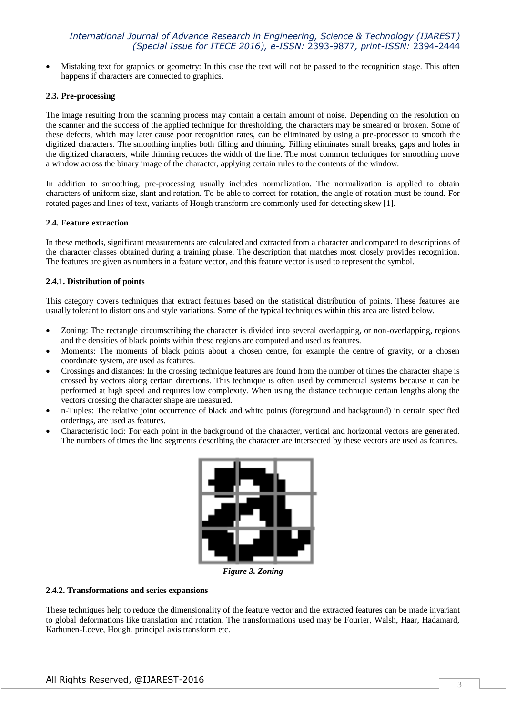Mistaking text for graphics or geometry: In this case the text will not be passed to the recognition stage. This often happens if characters are connected to graphics.

### **2.3. Pre-processing**

The image resulting from the scanning process may contain a certain amount of noise. Depending on the resolution on the scanner and the success of the applied technique for thresholding, the characters may be smeared or broken. Some of these defects, which may later cause poor recognition rates, can be eliminated by using a pre-processor to smooth the digitized characters. The smoothing implies both filling and thinning. Filling eliminates small breaks, gaps and holes in the digitized characters, while thinning reduces the width of the line. The most common techniques for smoothing move a window across the binary image of the character, applying certain rules to the contents of the window.

In addition to smoothing, pre-processing usually includes normalization. The normalization is applied to obtain characters of uniform size, slant and rotation. To be able to correct for rotation, the angle of rotation must be found. For rotated pages and lines of text, variants of Hough transform are commonly used for detecting skew [1].

#### **2.4. Feature extraction**

In these methods, significant measurements are calculated and extracted from a character and compared to descriptions of the character classes obtained during a training phase. The description that matches most closely provides recognition. The features are given as numbers in a feature vector, and this feature vector is used to represent the symbol.

## **2.4.1. Distribution of points**

This category covers techniques that extract features based on the statistical distribution of points. These features are usually tolerant to distortions and style variations. Some of the typical techniques within this area are listed below.

- Zoning: The rectangle circumscribing the character is divided into several overlapping, or non-overlapping, regions and the densities of black points within these regions are computed and used as features.
- Moments: The moments of black points about a chosen centre, for example the centre of gravity, or a chosen coordinate system, are used as features.
- Crossings and distances: In the crossing technique features are found from the number of times the character shape is crossed by vectors along certain directions. This technique is often used by commercial systems because it can be performed at high speed and requires low complexity. When using the distance technique certain lengths along the vectors crossing the character shape are measured.
- n-Tuples: The relative joint occurrence of black and white points (foreground and background) in certain specified orderings, are used as features.
- Characteristic loci: For each point in the background of the character, vertical and horizontal vectors are generated. The numbers of times the line segments describing the character are intersected by these vectors are used as features.



*Figure 3. Zoning*

#### **2.4.2. Transformations and series expansions**

These techniques help to reduce the dimensionality of the feature vector and the extracted features can be made invariant to global deformations like translation and rotation. The transformations used may be Fourier, Walsh, Haar, Hadamard, Karhunen-Loeve, Hough, principal axis transform etc.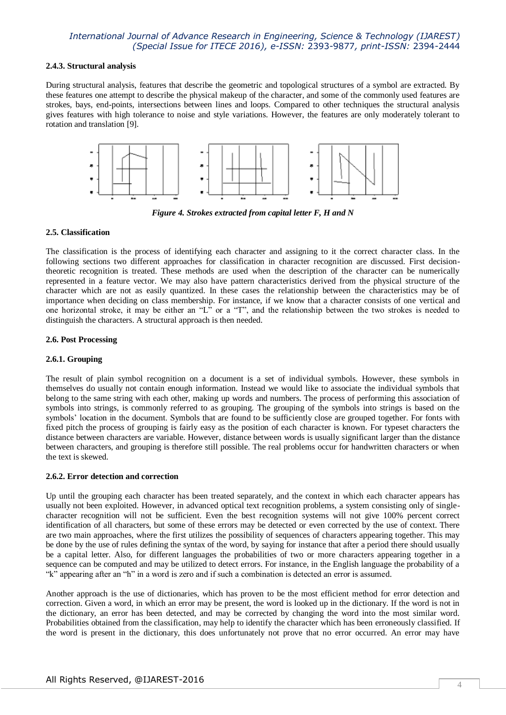#### **2.4.3. Structural analysis**

During structural analysis, features that describe the geometric and topological structures of a symbol are extracted. By these features one attempt to describe the physical makeup of the character, and some of the commonly used features are strokes, bays, end-points, intersections between lines and loops. Compared to other techniques the structural analysis gives features with high tolerance to noise and style variations. However, the features are only moderately tolerant to rotation and translation [9].



*Figure 4. Strokes extracted from capital letter F, H and N*

#### **2.5. Classification**

The classification is the process of identifying each character and assigning to it the correct character class. In the following sections two different approaches for classification in character recognition are discussed. First decisiontheoretic recognition is treated. These methods are used when the description of the character can be numerically represented in a feature vector. We may also have pattern characteristics derived from the physical structure of the character which are not as easily quantized. In these cases the relationship between the characteristics may be of importance when deciding on class membership. For instance, if we know that a character consists of one vertical and one horizontal stroke, it may be either an "L" or a "T", and the relationship between the two strokes is needed to distinguish the characters. A structural approach is then needed.

#### **2.6. Post Processing**

#### **2.6.1. Grouping**

The result of plain symbol recognition on a document is a set of individual symbols. However, these symbols in themselves do usually not contain enough information. Instead we would like to associate the individual symbols that belong to the same string with each other, making up words and numbers. The process of performing this association of symbols into strings, is commonly referred to as grouping. The grouping of the symbols into strings is based on the symbols' location in the document. Symbols that are found to be sufficiently close are grouped together. For fonts with fixed pitch the process of grouping is fairly easy as the position of each character is known. For typeset characters the distance between characters are variable. However, distance between words is usually significant larger than the distance between characters, and grouping is therefore still possible. The real problems occur for handwritten characters or when the text is skewed.

#### **2.6.2. Error detection and correction**

Up until the grouping each character has been treated separately, and the context in which each character appears has usually not been exploited. However, in advanced optical text recognition problems, a system consisting only of singlecharacter recognition will not be sufficient. Even the best recognition systems will not give 100% percent correct identification of all characters, but some of these errors may be detected or even corrected by the use of context. There are two main approaches, where the first utilizes the possibility of sequences of characters appearing together. This may be done by the use of rules defining the syntax of the word, by saying for instance that after a period there should usually be a capital letter. Also, for different languages the probabilities of two or more characters appearing together in a sequence can be computed and may be utilized to detect errors. For instance, in the English language the probability of a "k" appearing after an "h" in a word is zero and if such a combination is detected an error is assumed.

Another approach is the use of dictionaries, which has proven to be the most efficient method for error detection and correction. Given a word, in which an error may be present, the word is looked up in the dictionary. If the word is not in the dictionary, an error has been detected, and may be corrected by changing the word into the most similar word. Probabilities obtained from the classification, may help to identify the character which has been erroneously classified. If the word is present in the dictionary, this does unfortunately not prove that no error occurred. An error may have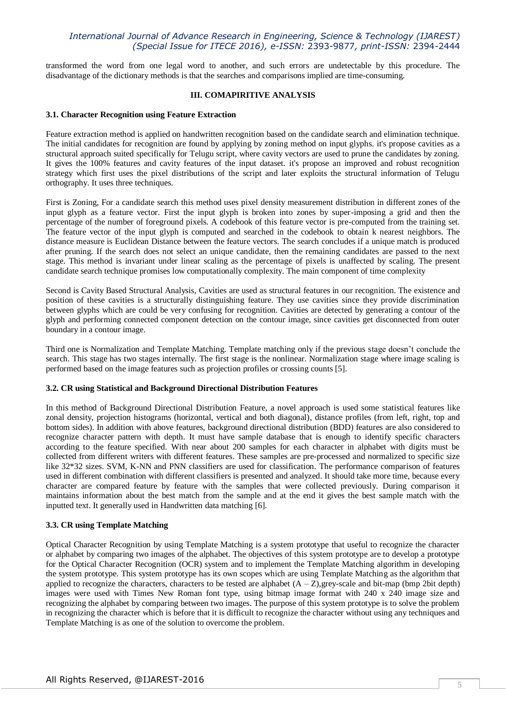transformed the word from one legal word to another, and such errors are undetectable by this procedure. The disadvantage of the dictionary methods is that the searches and comparisons implied are time-consuming.

#### **III. COMAPIRITIVE ANALYSIS**

#### **3.1. Character Recognition using Feature Extraction**

Feature extraction method is applied on handwritten recognition based on the candidate search and elimination technique. The initial candidates for recognition are found by applying by zoning method on input glyphs. it's propose cavities as a structural approach suited specifically for Telugu script, where cavity vectors are used to prune the candidates by zoning. It gives the 100% features and cavity features of the input dataset. it's propose an improved and robust recognition strategy which first uses the pixel distributions of the script and later exploits the structural information of Telugu orthography. It uses three techniques.

First is Zoning, For a candidate search this method uses pixel density measurement distribution in different zones of the input glyph as a feature vector. First the input glyph is broken into zones by super-imposing a grid and then the percentage of the number of foreground pixels. A codebook of this feature vector is pre-computed from the training set. The feature vector of the input glyph is computed and searched in the codebook to obtain k nearest neighbors. The distance measure is Euclidean Distance between the feature vectors. The search concludes if a unique match is produced after pruning. If the search does not select an unique candidate, then the remaining candidates are passed to the next stage. This method is invariant under linear scaling as the percentage of pixels is unaffected by scaling. The present candidate search technique promises low computationally complexity. The main component of time complexity

Second is Cavity Based Structural Analysis, Cavities are used as structural features in our recognition. The existence and position of these cavities is a structurally distinguishing feature. They use cavities since they provide discrimination between glyphs which are could be very confusing for recognition. Cavities are detected by generating a contour of the glyph and performing connected component detection on the contour image, since cavities get disconnected from outer boundary in a contour image.

Third one is Normalization and Template Matching. Template matching only if the previous stage doesn't conclude the search. This stage has two stages internally. The first stage is the nonlinear. Normalization stage where image scaling is performed based on the image features such as projection profiles or crossing counts [5].

#### **3.2. CR using Statistical and Background Directional Distribution Features**

In this method of Background Directional Distribution Feature, a novel approach is used some statistical features like zonal density, projection histograms (horizontal, vertical and both diagonal), distance profiles (from left, right, top and bottom sides). In addition with above features, background directional distribution (BDD) features are also considered to recognize character pattern with depth. It must have sample database that is enough to identify specific characters according to the feature specified. With near about 200 samples for each character in alphabet with digits must be collected from different writers with different features. These samples are pre-processed and normalized to specific size like 32\*32 sizes. SVM, K-NN and PNN classifiers are used for classification. The performance comparison of features used in different combination with different classifiers is presented and analyzed. It should take more time, because every character are compared feature by feature with the samples that were collected previously. During comparison it maintains information about the best match from the sample and at the end it gives the best sample match with the inputted text. It generally used in Handwritten data matching [6].

## **3.3. CR using Template Matching**

Optical Character Recognition by using Template Matching is a system prototype that useful to recognize the character or alphabet by comparing two images of the alphabet. The objectives of this system prototype are to develop a prototype for the Optical Character Recognition (OCR) system and to implement the Template Matching algorithm in developing the system prototype. This system prototype has its own scopes which are using Template Matching as the algorithm that applied to recognize the characters, characters to be tested are alphabet  $(A - Z)$ , grey-scale and bit-map (bmp 2bit depth) images were used with Times New Roman font type, using bitmap image format with 240 x 240 image size and recognizing the alphabet by comparing between two images. The purpose of this system prototype is to solve the problem in recognizing the character which is before that it is difficult to recognize the character without using any techniques and Template Matching is as one of the solution to overcome the problem.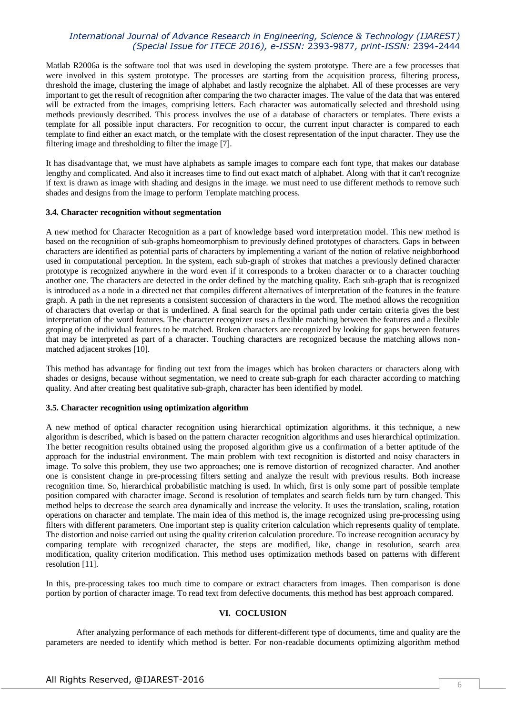Matlab R2006a is the software tool that was used in developing the system prototype. There are a few processes that were involved in this system prototype. The processes are starting from the acquisition process, filtering process, threshold the image, clustering the image of alphabet and lastly recognize the alphabet. All of these processes are very important to get the result of recognition after comparing the two character images. The value of the data that was entered will be extracted from the images, comprising letters. Each character was automatically selected and threshold using methods previously described. This process involves the use of a database of characters or templates. There exists a template for all possible input characters. For recognition to occur, the current input character is compared to each template to find either an exact match, or the template with the closest representation of the input character. They use the filtering image and thresholding to filter the image [7].

It has disadvantage that, we must have alphabets as sample images to compare each font type, that makes our database lengthy and complicated. And also it increases time to find out exact match of alphabet. Along with that it can't recognize if text is drawn as image with shading and designs in the image. we must need to use different methods to remove such shades and designs from the image to perform Template matching process.

#### **3.4. Character recognition without segmentation**

A new method for Character Recognition as a part of knowledge based word interpretation model. This new method is based on the recognition of sub-graphs homeomorphism to previously defined prototypes of characters. Gaps in between characters are identified as potential parts of characters by implementing a variant of the notion of relative neighborhood used in computational perception. In the system, each sub-graph of strokes that matches a previously defined character prototype is recognized anywhere in the word even if it corresponds to a broken character or to a character touching another one. The characters are detected in the order defined by the matching quality. Each sub-graph that is recognized is introduced as a node in a directed net that compiles different alternatives of interpretation of the features in the feature graph. A path in the net represents a consistent succession of characters in the word. The method allows the recognition of characters that overlap or that is underlined. A final search for the optimal path under certain criteria gives the best interpretation of the word features. The character recognizer uses a flexible matching between the features and a flexible groping of the individual features to be matched. Broken characters are recognized by looking for gaps between features that may be interpreted as part of a character. Touching characters are recognized because the matching allows nonmatched adjacent strokes [10].

This method has advantage for finding out text from the images which has broken characters or characters along with shades or designs, because without segmentation, we need to create sub-graph for each character according to matching quality. And after creating best qualitative sub-graph, character has been identified by model.

## **3.5. Character recognition using optimization algorithm**

A new method of optical character recognition using hierarchical optimization algorithms. it this technique, a new algorithm is described, which is based on the pattern character recognition algorithms and uses hierarchical optimization. The better recognition results obtained using the proposed algorithm give us a confirmation of a better aptitude of the approach for the industrial environment. The main problem with text recognition is distorted and noisy characters in image. To solve this problem, they use two approaches; one is remove distortion of recognized character. And another one is consistent change in pre-processing filters setting and analyze the result with previous results. Both increase recognition time. So, hierarchical probabilistic matching is used. In which, first is only some part of possible template position compared with character image. Second is resolution of templates and search fields turn by turn changed. This method helps to decrease the search area dynamically and increase the velocity. It uses the translation, scaling, rotation operations on character and template. The main idea of this method is, the image recognized using pre-processing using filters with different parameters. One important step is quality criterion calculation which represents quality of template. The distortion and noise carried out using the quality criterion calculation procedure. To increase recognition accuracy by comparing template with recognized character, the steps are modified, like, change in resolution, search area modification, quality criterion modification. This method uses optimization methods based on patterns with different resolution [11].

In this, pre-processing takes too much time to compare or extract characters from images. Then comparison is done portion by portion of character image. To read text from defective documents, this method has best approach compared.

## **VI. COCLUSION**

After analyzing performance of each methods for different-different type of documents, time and quality are the parameters are needed to identify which method is better. For non-readable documents optimizing algorithm method